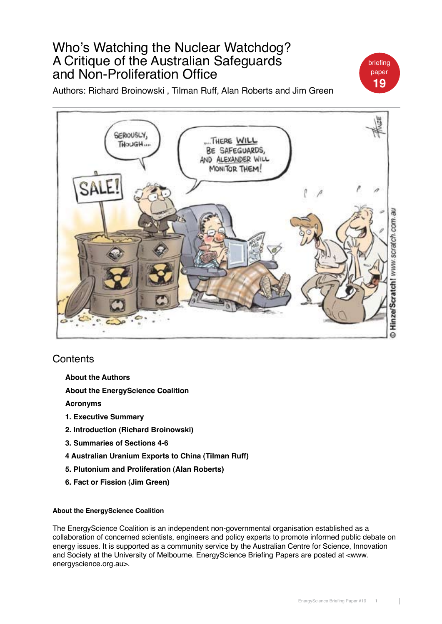# Who's Watching the Nuclear Watchdog? A Critique of the Australian Safeguards and Non-Proliferation Office

Authors: Richard Broinowski , Tilman Ruff, Alan Roberts and Jim Green



## **Contents**

- **About the Authors**
- **About the EnergyScience Coalition**

**Acronyms**

- **1. Executive Summary**
- **2. Introduction (Richard Broinowski)**
- **3. Summaries of Sections 4-6**
- **4 Australian Uranium Exports to China (Tilman Ruff)**
- **5. Plutonium and Proliferation (Alan Roberts)**
- **6. Fact or Fission (Jim Green)**

## **About the EnergyScience Coalition**

The EnergyScience Coalition is an independent non-governmental organisation established as a collaboration of concerned scientists, engineers and policy experts to promote informed public debate on energy issues. It is supported as a community service by the Australian Centre for Science, Innovation and Society at the University of Melbourne. EnergyScience Briefing Papers are posted at <www. energyscience.org.au>.

briefing paper **19**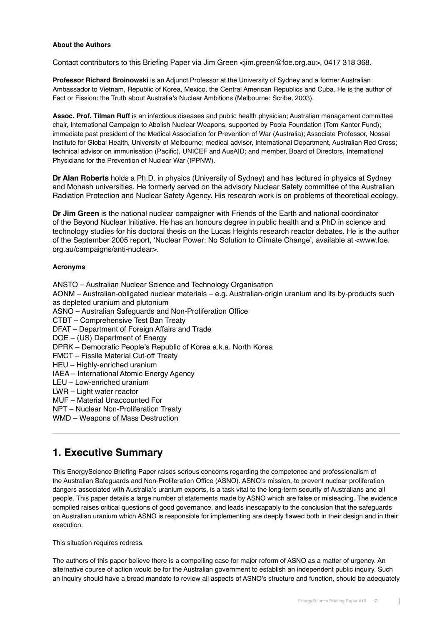### **About the Authors**

Contact contributors to this Briefing Paper via Jim Green <jim.green@foe.org.au>, 0417 318 368.

**Professor Richard Broinowski** is an Adjunct Professor at the University of Sydney and a former Australian Ambassador to Vietnam, Republic of Korea, Mexico, the Central American Republics and Cuba. He is the author of Fact or Fission: the Truth about Australia's Nuclear Ambitions (Melbourne: Scribe, 2003).

**Assoc. Prof. Tilman Ruff** is an infectious diseases and public health physician; Australian management committee chair, International Campaign to Abolish Nuclear Weapons, supported by Poola Foundation (Tom Kantor Fund); immediate past president of the Medical Association for Prevention of War (Australia); Associate Professor, Nossal Institute for Global Health, University of Melbourne; medical advisor, International Department, Australian Red Cross; technical advisor on immunisation (Pacific), UNICEF and AusAID; and member, Board of Directors, International Physicians for the Prevention of Nuclear War (IPPNW).

**Dr Alan Roberts** holds a Ph.D. in physics (University of Sydney) and has lectured in physics at Sydney and Monash universities. He formerly served on the advisory Nuclear Safety committee of the Australian Radiation Protection and Nuclear Safety Agency. His research work is on problems of theoretical ecology.

**Dr Jim Green** is the national nuclear campaigner with Friends of the Earth and national coordinator of the Beyond Nuclear Initiative. He has an honours degree in public health and a PhD in science and technology studies for his doctoral thesis on the Lucas Heights research reactor debates. He is the author of the September 2005 report, 'Nuclear Power: No Solution to Climate Change', available at <www.foe. org.au/campaigns/anti-nuclear>.

## **Acronyms**

ANSTO – Australian Nuclear Science and Technology Organisation AONM – Australian-obligated nuclear materials – e.g. Australian-origin uranium and its by-products such as depleted uranium and plutonium ASNO – Australian Safeguards and Non-Proliferation Office CTBT – Comprehensive Test Ban Treaty DFAT – Department of Foreign Affairs and Trade DOE – (US) Department of Energy DPRK – Democratic People's Republic of Korea a.k.a. North Korea FMCT – Fissile Material Cut-off Treaty HEU – Highly-enriched uranium IAEA – International Atomic Energy Agency LEU – Low-enriched uranium LWR – Light water reactor MUF – Material Unaccounted For NPT – Nuclear Non-Proliferation Treaty WMD – Weapons of Mass Destruction

## **1. Executive Summary**

This EnergyScience Briefing Paper raises serious concerns regarding the competence and professionalism of the Australian Safeguards and Non-Proliferation Office (ASNO). ASNO's mission, to prevent nuclear proliferation dangers associated with Australia's uranium exports, is a task vital to the long-term security of Australians and all people. This paper details a large number of statements made by ASNO which are false or misleading. The evidence compiled raises critical questions of good governance, and leads inescapably to the conclusion that the safeguards on Australian uranium which ASNO is responsible for implementing are deeply flawed both in their design and in their execution.

This situation requires redress.

The authors of this paper believe there is a compelling case for major reform of ASNO as a matter of urgency. An alternative course of action would be for the Australian government to establish an independent public inquiry. Such an inquiry should have a broad mandate to review all aspects of ASNO's structure and function, should be adequately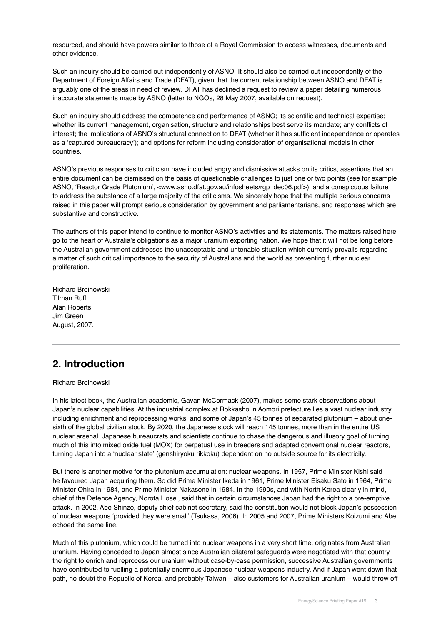resourced, and should have powers similar to those of a Royal Commission to access witnesses, documents and other evidence.

Such an inquiry should be carried out independently of ASNO. It should also be carried out independently of the Department of Foreign Affairs and Trade (DFAT), given that the current relationship between ASNO and DFAT is arguably one of the areas in need of review. DFAT has declined a request to review a paper detailing numerous inaccurate statements made by ASNO (letter to NGOs, 28 May 2007, available on request).

Such an inquiry should address the competence and performance of ASNO; its scientific and technical expertise; whether its current management, organisation, structure and relationships best serve its mandate; any conflicts of interest; the implications of ASNO's structural connection to DFAT (whether it has sufficient independence or operates as a 'captured bureaucracy'); and options for reform including consideration of organisational models in other countries.

ASNO's previous responses to criticism have included angry and dismissive attacks on its critics, assertions that an entire document can be dismissed on the basis of questionable challenges to just one or two points (see for example ASNO, 'Reactor Grade Plutonium', <www.asno.dfat.gov.au/infosheets/rgp\_dec06.pdf>), and a conspicuous failure to address the substance of a large majority of the criticisms. We sincerely hope that the multiple serious concerns raised in this paper will prompt serious consideration by government and parliamentarians, and responses which are substantive and constructive.

The authors of this paper intend to continue to monitor ASNO's activities and its statements. The matters raised here go to the heart of Australia's obligations as a major uranium exporting nation. We hope that it will not be long before the Australian government addresses the unacceptable and untenable situation which currently prevails regarding a matter of such critical importance to the security of Australians and the world as preventing further nuclear proliferation.

Richard Broinowski Tilman Ruff Alan Roberts Jim Green August, 2007.

# **2. Introduction**

Richard Broinowski

In his latest book, the Australian academic, Gavan McCormack (2007), makes some stark observations about Japan's nuclear capabilities. At the industrial complex at Rokkasho in Aomori prefecture lies a vast nuclear industry including enrichment and reprocessing works, and some of Japan's 45 tonnes of separated plutonium – about onesixth of the global civilian stock. By 2020, the Japanese stock will reach 145 tonnes, more than in the entire US nuclear arsenal. Japanese bureaucrats and scientists continue to chase the dangerous and illusory goal of turning much of this into mixed oxide fuel (MOX) for perpetual use in breeders and adapted conventional nuclear reactors, turning Japan into a 'nuclear state' (genshiryoku rikkoku) dependent on no outside source for its electricity.

But there is another motive for the plutonium accumulation: nuclear weapons. In 1957, Prime Minister Kishi said he favoured Japan acquiring them. So did Prime Minister Ikeda in 1961, Prime Minister Eisaku Sato in 1964, Prime Minister Ohira in 1984, and Prime Minister Nakasone in 1984. In the 1990s, and with North Korea clearly in mind, chief of the Defence Agency, Norota Hosei, said that in certain circumstances Japan had the right to a pre-emptive attack. In 2002, Abe Shinzo, deputy chief cabinet secretary, said the constitution would not block Japan's possession of nuclear weapons 'provided they were small' (Tsukasa, 2006). In 2005 and 2007, Prime Ministers Koizumi and Abe echoed the same line.

Much of this plutonium, which could be turned into nuclear weapons in a very short time, originates from Australian uranium. Having conceded to Japan almost since Australian bilateral safeguards were negotiated with that country the right to enrich and reprocess our uranium without case-by-case permission, successive Australian governments have contributed to fuelling a potentially enormous Japanese nuclear weapons industry. And if Japan went down that path, no doubt the Republic of Korea, and probably Taiwan – also customers for Australian uranium – would throw off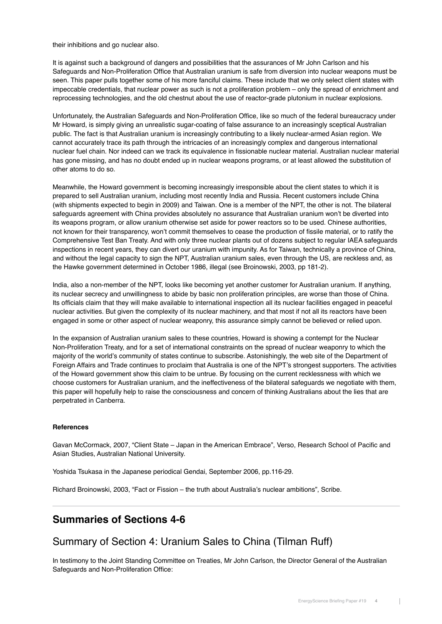their inhibitions and go nuclear also.

It is against such a background of dangers and possibilities that the assurances of Mr John Carlson and his Safeguards and Non-Proliferation Office that Australian uranium is safe from diversion into nuclear weapons must be seen. This paper pulls together some of his more fanciful claims. These include that we only select client states with impeccable credentials, that nuclear power as such is not a proliferation problem – only the spread of enrichment and reprocessing technologies, and the old chestnut about the use of reactor-grade plutonium in nuclear explosions.

Unfortunately, the Australian Safeguards and Non-Proliferation Office, like so much of the federal bureaucracy under Mr Howard, is simply giving an unrealistic sugar-coating of false assurance to an increasingly sceptical Australian public. The fact is that Australian uranium is increasingly contributing to a likely nuclear-armed Asian region. We cannot accurately trace its path through the intricacies of an increasingly complex and dangerous international nuclear fuel chain. Nor indeed can we track its equivalence in fissionable nuclear material. Australian nuclear material has gone missing, and has no doubt ended up in nuclear weapons programs, or at least allowed the substitution of other atoms to do so.

Meanwhile, the Howard government is becoming increasingly irresponsible about the client states to which it is prepared to sell Australian uranium, including most recently India and Russia. Recent customers include China (with shipments expected to begin in 2009) and Taiwan. One is a member of the NPT, the other is not. The bilateral safeguards agreement with China provides absolutely no assurance that Australian uranium won't be diverted into its weapons program, or allow uranium otherwise set aside for power reactors so to be used. Chinese authorities, not known for their transparency, won't commit themselves to cease the production of fissile material, or to ratify the Comprehensive Test Ban Treaty. And with only three nuclear plants out of dozens subject to regular IAEA safeguards inspections in recent years, they can divert our uranium with impunity. As for Taiwan, technically a province of China, and without the legal capacity to sign the NPT, Australian uranium sales, even through the US, are reckless and, as the Hawke government determined in October 1986, illegal (see Broinowski, 2003, pp 181-2).

India, also a non-member of the NPT, looks like becoming yet another customer for Australian uranium. If anything, its nuclear secrecy and unwillingness to abide by basic non proliferation principles, are worse than those of China. Its officials claim that they will make available to international inspection all its nuclear facilities engaged in peaceful nuclear activities. But given the complexity of its nuclear machinery, and that most if not all its reactors have been engaged in some or other aspect of nuclear weaponry, this assurance simply cannot be believed or relied upon.

In the expansion of Australian uranium sales to these countries, Howard is showing a contempt for the Nuclear Non-Proliferation Treaty, and for a set of international constraints on the spread of nuclear weaponry to which the majority of the world's community of states continue to subscribe. Astonishingly, the web site of the Department of Foreign Affairs and Trade continues to proclaim that Australia is one of the NPT's strongest supporters. The activities of the Howard government show this claim to be untrue. By focusing on the current recklessness with which we choose customers for Australian uranium, and the ineffectiveness of the bilateral safeguards we negotiate with them, this paper will hopefully help to raise the consciousness and concern of thinking Australians about the lies that are perpetrated in Canberra.

## **References**

Gavan McCormack, 2007, "Client State – Japan in the American Embrace", Verso, Research School of Pacific and Asian Studies, Australian National University.

Yoshida Tsukasa in the Japanese periodical Gendai, September 2006, pp.116-29.

Richard Broinowski, 2003, "Fact or Fission – the truth about Australia's nuclear ambitions", Scribe.

## **Summaries of Sections 4-6**

## Summary of Section 4: Uranium Sales to China (Tilman Ruff)

In testimony to the Joint Standing Committee on Treaties, Mr John Carlson, the Director General of the Australian Safeguards and Non-Proliferation Office: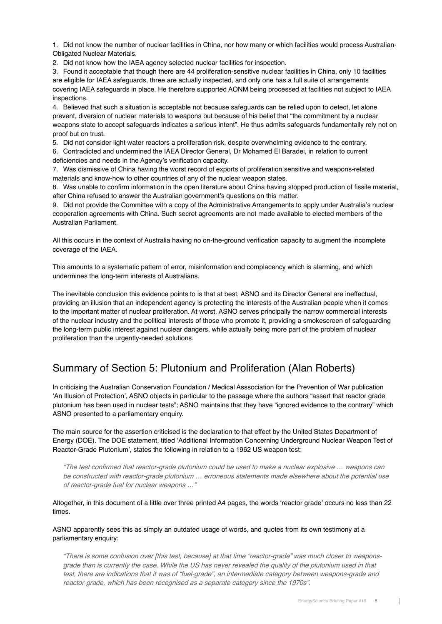1. Did not know the number of nuclear facilities in China, nor how many or which facilities would process Australian-Obligated Nuclear Materials.

2. Did not know how the IAEA agency selected nuclear facilities for inspection.

3. Found it acceptable that though there are 44 proliferation-sensitive nuclear facilities in China, only 10 facilities are eligible for IAEA safeguards, three are actually inspected, and only one has a full suite of arrangements covering IAEA safeguards in place. He therefore supported AONM being processed at facilities not subject to IAEA inspections.

4. Believed that such a situation is acceptable not because safeguards can be relied upon to detect, let alone prevent, diversion of nuclear materials to weapons but because of his belief that "the commitment by a nuclear weapons state to accept safeguards indicates a serious intent". He thus admits safeguards fundamentally rely not on proof but on trust.

5. Did not consider light water reactors a proliferation risk, despite overwhelming evidence to the contrary.

6. Contradicted and undermined the IAEA Director General, Dr Mohamed El Baradei, in relation to current deficiencies and needs in the Agency's verification capacity.

7. Was dismissive of China having the worst record of exports of proliferation sensitive and weapons-related materials and know-how to other countries of any of the nuclear weapon states.

8. Was unable to confirm information in the open literature about China having stopped production of fissile material, after China refused to answer the Australian government's questions on this matter.

9. Did not provide the Committee with a copy of the Administrative Arrangements to apply under Australia's nuclear cooperation agreements with China. Such secret agreements are not made available to elected members of the Australian Parliament.

All this occurs in the context of Australia having no on-the-ground verification capacity to augment the incomplete coverage of the IAEA.

This amounts to a systematic pattern of error, misinformation and complacency which is alarming, and which undermines the long-term interests of Australians.

The inevitable conclusion this evidence points to is that at best, ASNO and its Director General are ineffectual, providing an illusion that an independent agency is protecting the interests of the Australian people when it comes to the important matter of nuclear proliferation. At worst, ASNO serves principally the narrow commercial interests of the nuclear industry and the political interests of those who promote it, providing a smokescreen of safeguarding the long-term public interest against nuclear dangers, while actually being more part of the problem of nuclear proliferation than the urgently-needed solutions.

## Summary of Section 5: Plutonium and Proliferation (Alan Roberts)

In criticising the Australian Conservation Foundation / Medical Asssociation for the Prevention of War publication 'An Illusion of Protection', ASNO objects in particular to the passage where the authors "assert that reactor grade plutonium has been used in nuclear tests"; ASNO maintains that they have "ignored evidence to the contrary" which ASNO presented to a parliamentary enquiry.

The main source for the assertion criticised is the declaration to that effect by the United States Department of Energy (DOE). The DOE statement, titled 'Additional Information Concerning Underground Nuclear Weapon Test of Reactor-Grade Plutonium', states the following in relation to a 1962 US weapon test:

"The test confirmed that reactor-grade plutonium could be used to make a nuclear explosive … weapons can be constructed with reactor-grade plutonium … erroneous statements made elsewhere about the potential use of reactor-grade fuel for nuclear weapons …"

Altogether, in this document of a little over three printed A4 pages, the words 'reactor grade' occurs no less than 22 times.

ASNO apparently sees this as simply an outdated usage of words, and quotes from its own testimony at a parliamentary enquiry:

"There is some confusion over [this test, because] at that time "reactor-grade" was much closer to weaponsgrade than is currently the case. While the US has never revealed the quality of the plutonium used in that test, there are indications that it was of "fuel-grade", an intermediate category between weapons-grade and reactor-grade, which has been recognised as a separate category since the 1970s".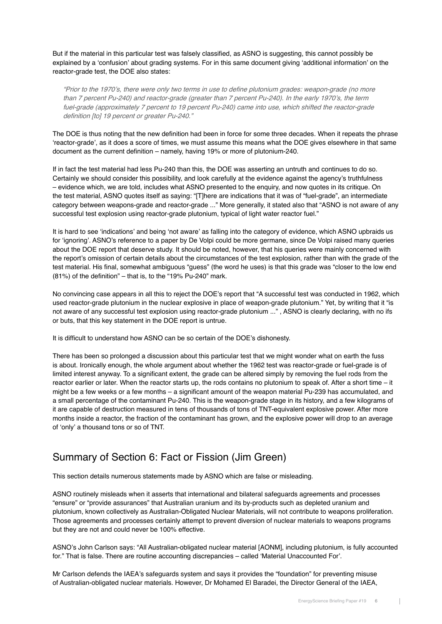But if the material in this particular test was falsely classified, as ASNO is suggesting, this cannot possibly be explained by a 'confusion' about grading systems. For in this same document giving 'additional information' on the reactor-grade test, the DOE also states:

"Prior to the 1970's, there were only two terms in use to define plutonium grades: weapon-grade (no more than 7 percent Pu-240) and reactor-grade (greater than 7 percent Pu-240). In the early 1970's, the term fuel-grade (approximately 7 percent to 19 percent Pu-240) came into use, which shifted the reactor-grade definition [to] 19 percent or greater Pu-240."

The DOE is thus noting that the new definition had been in force for some three decades. When it repeats the phrase 'reactor-grade', as it does a score of times, we must assume this means what the DOE gives elsewhere in that same document as the current definition – namely, having 19% or more of plutonium-240.

If in fact the test material had less Pu-240 than this, the DOE was asserting an untruth and continues to do so. Certainly we should consider this possibility, and look carefully at the evidence against the agency's truthfulness – evidence which, we are told, includes what ASNO presented to the enquiry, and now quotes in its critique. On the test material, ASNO quotes itself as saying: "[T]here are indications that it was of "fuel-grade", an intermediate category between weapons-grade and reactor-grade ..." More generally, it stated also that "ASNO is not aware of any successful test explosion using reactor-grade plutonium, typical of light water reactor fuel."

It is hard to see 'indications' and being 'not aware' as falling into the category of evidence, which ASNO upbraids us for 'ignoring'. ASNO's reference to a paper by De Volpi could be more germane, since De Volpi raised many queries about the DOE report that deserve study. It should be noted, however, that his queries were mainly concerned with the report's omission of certain details about the circumstances of the test explosion, rather than with the grade of the test material. His final, somewhat ambiguous "guess" (the word he uses) is that this grade was "closer to the low end (81%) of the definition" – that is, to the "19% Pu-240" mark.

No convincing case appears in all this to reject the DOE's report that "A successful test was conducted in 1962, which used reactor-grade plutonium in the nuclear explosive in place of weapon-grade plutonium." Yet, by writing that it "is not aware of any successful test explosion using reactor-grade plutonium ..." , ASNO is clearly declaring, with no ifs or buts, that this key statement in the DOE report is untrue.

It is difficult to understand how ASNO can be so certain of the DOE's dishonesty.

There has been so prolonged a discussion about this particular test that we might wonder what on earth the fuss is about. Ironically enough, the whole argument about whether the 1962 test was reactor-grade or fuel-grade is of limited interest anyway. To a significant extent, the grade can be altered simply by removing the fuel rods from the reactor earlier or later. When the reactor starts up, the rods contains no plutonium to speak of. After a short time – it might be a few weeks or a few months – a significant amount of the weapon material Pu-239 has accumulated, and a small percentage of the contaminant Pu-240. This is the weapon-grade stage in its history, and a few kilograms of it are capable of destruction measured in tens of thousands of tons of TNT-equivalent explosive power. After more months inside a reactor, the fraction of the contaminant has grown, and the explosive power will drop to an average of 'only' a thousand tons or so of TNT.

# Summary of Section 6: Fact or Fission (Jim Green)

This section details numerous statements made by ASNO which are false or misleading.

ASNO routinely misleads when it asserts that international and bilateral safeguards agreements and processes "ensure" or "provide assurances" that Australian uranium and its by-products such as depleted uranium and plutonium, known collectively as Australian-Obligated Nuclear Materials, will not contribute to weapons proliferation. Those agreements and processes certainly attempt to prevent diversion of nuclear materials to weapons programs but they are not and could never be 100% effective.

ASNO's John Carlson says: "All Australian-obligated nuclear material [AONM], including plutonium, is fully accounted for." That is false. There are routine accounting discrepancies – called 'Material Unaccounted For'.

Mr Carlson defends the IAEA's safeguards system and says it provides the "foundation" for preventing misuse of Australian-obligated nuclear materials. However, Dr Mohamed El Baradei, the Director General of the IAEA,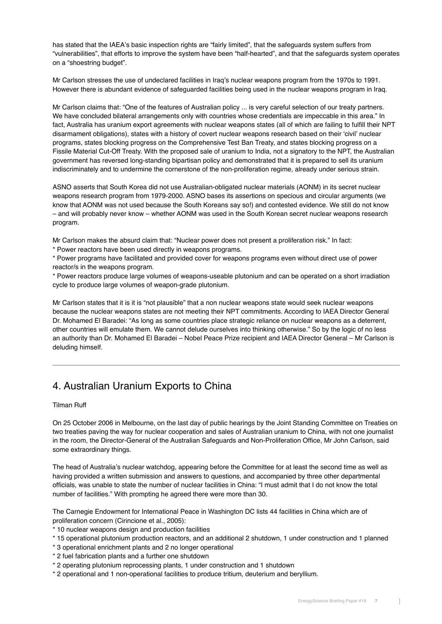has stated that the IAEA's basic inspection rights are "fairly limited", that the safeguards system suffers from "vulnerabilities", that efforts to improve the system have been "half-hearted", and that the safeguards system operates on a "shoestring budget".

Mr Carlson stresses the use of undeclared facilities in Iraq's nuclear weapons program from the 1970s to 1991. However there is abundant evidence of safeguarded facilities being used in the nuclear weapons program in Iraq.

Mr Carlson claims that: "One of the features of Australian policy ... is very careful selection of our treaty partners. We have concluded bilateral arrangements only with countries whose credentials are impeccable in this area." In fact, Australia has uranium export agreements with nuclear weapons states (all of which are failing to fulfill their NPT disarmament obligations), states with a history of covert nuclear weapons research based on their 'civil' nuclear programs, states blocking progress on the Comprehensive Test Ban Treaty, and states blocking progress on a Fissile Material Cut-Off Treaty. With the proposed sale of uranium to India, not a signatory to the NPT, the Australian government has reversed long-standing bipartisan policy and demonstrated that it is prepared to sell its uranium indiscriminately and to undermine the cornerstone of the non-proliferation regime, already under serious strain.

ASNO asserts that South Korea did not use Australian-obligated nuclear materials (AONM) in its secret nuclear weapons research program from 1979-2000. ASNO bases its assertions on specious and circular arguments (we know that AONM was not used because the South Koreans say so!) and contested evidence. We still do not know – and will probably never know – whether AONM was used in the South Korean secret nuclear weapons research program.

Mr Carlson makes the absurd claim that: "Nuclear power does not present a proliferation risk." In fact:

\* Power reactors have been used directly in weapons programs.

\* Power programs have facilitated and provided cover for weapons programs even without direct use of power reactor/s in the weapons program.

\* Power reactors produce large volumes of weapons-useable plutonium and can be operated on a short irradiation cycle to produce large volumes of weapon-grade plutonium.

Mr Carlson states that it is it is "not plausible" that a non nuclear weapons state would seek nuclear weapons because the nuclear weapons states are not meeting their NPT commitments. According to IAEA Director General Dr. Mohamed El Baradei: "As long as some countries place strategic reliance on nuclear weapons as a deterrent, other countries will emulate them. We cannot delude ourselves into thinking otherwise." So by the logic of no less an authority than Dr. Mohamed El Baradei – Nobel Peace Prize recipient and IAEA Director General – Mr Carlson is deluding himself.

## 4. Australian Uranium Exports to China

Tilman Ruff

On 25 October 2006 in Melbourne, on the last day of public hearings by the Joint Standing Committee on Treaties on two treaties paving the way for nuclear cooperation and sales of Australian uranium to China, with not one journalist in the room, the Director-General of the Australian Safeguards and Non-Proliferation Office, Mr John Carlson, said some extraordinary things.

The head of Australia's nuclear watchdog, appearing before the Committee for at least the second time as well as having provided a written submission and answers to questions, and accompanied by three other departmental officials, was unable to state the number of nuclear facilities in China: "I must admit that I do not know the total number of facilities." With prompting he agreed there were more than 30.

The Carnegie Endowment for International Peace in Washington DC lists 44 facilities in China which are of proliferation concern (Cirincione et al., 2005):

- \* 10 nuclear weapons design and production facilities
- \* 15 operational plutonium production reactors, and an additional 2 shutdown, 1 under construction and 1 planned
- \* 3 operational enrichment plants and 2 no longer operational
- \* 2 fuel fabrication plants and a further one shutdown
- \* 2 operating plutonium reprocessing plants, 1 under construction and 1 shutdown
- \* 2 operational and 1 non-operational facilities to produce tritium, deuterium and beryllium.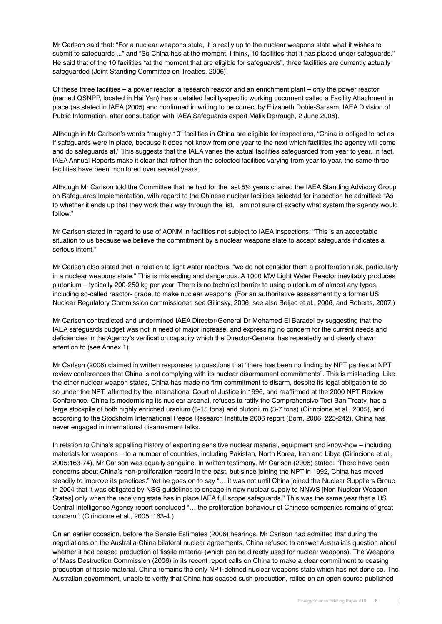Mr Carlson said that: "For a nuclear weapons state, it is really up to the nuclear weapons state what it wishes to submit to safeguards ..." and "So China has at the moment, I think, 10 facilities that it has placed under safeguards." He said that of the 10 facilities "at the moment that are eligible for safeguards", three facilities are currently actually safeguarded (Joint Standing Committee on Treaties, 2006).

Of these three facilities – a power reactor, a research reactor and an enrichment plant – only the power reactor (named QSNPP, located in Hai Yan) has a detailed facility-specific working document called a Facility Attachment in place (as stated in IAEA (2005) and confirmed in writing to be correct by Elizabeth Dobie-Sarsam, IAEA Division of Public Information, after consultation with IAEA Safeguards expert Malik Derrough, 2 June 2006).

Although in Mr Carlson's words "roughly 10" facilities in China are eligible for inspections, "China is obliged to act as if safeguards were in place, because it does not know from one year to the next which facilities the agency will come and do safeguards at." This suggests that the IAEA varies the actual facilities safeguarded from year to year. In fact, IAEA Annual Reports make it clear that rather than the selected facilities varying from year to year, the same three facilities have been monitored over several years.

Although Mr Carlson told the Committee that he had for the last 5½ years chaired the IAEA Standing Advisory Group on Safeguards Implementation, with regard to the Chinese nuclear facilities selected for inspection he admitted: "As to whether it ends up that they work their way through the list, I am not sure of exactly what system the agency would follow."

Mr Carlson stated in regard to use of AONM in facilities not subject to IAEA inspections: "This is an acceptable situation to us because we believe the commitment by a nuclear weapons state to accept safeguards indicates a serious intent."

Mr Carlson also stated that in relation to light water reactors, "we do not consider them a proliferation risk, particularly in a nuclear weapons state." This is misleading and dangerous. A 1000 MW Light Water Reactor inevitably produces plutonium – typically 200-250 kg per year. There is no technical barrier to using plutonium of almost any types, including so-called reactor- grade, to make nuclear weapons. (For an authoritative assessment by a former US Nuclear Regulatory Commission commissioner, see Gilinsky, 2006; see also Beljac et al., 2006, and Roberts, 2007.)

Mr Carlson contradicted and undermined IAEA Director-General Dr Mohamed El Baradei by suggesting that the IAEA safeguards budget was not in need of major increase, and expressing no concern for the current needs and deficiencies in the Agency's verification capacity which the Director-General has repeatedly and clearly drawn attention to (see Annex 1).

Mr Carlson (2006) claimed in written responses to questions that "there has been no finding by NPT parties at NPT review conferences that China is not complying with its nuclear disarmament commitments". This is misleading. Like the other nuclear weapon states, China has made no firm commitment to disarm, despite its legal obligation to do so under the NPT, affirmed by the International Court of Justice in 1996, and reaffirmed at the 2000 NPT Review Conference. China is modernising its nuclear arsenal, refuses to ratify the Comprehensive Test Ban Treaty, has a large stockpile of both highly enriched uranium (5-15 tons) and plutonium (3-7 tons) (Cirincione et al., 2005), and according to the Stockholm International Peace Research Institute 2006 report (Born, 2006: 225-242), China has never engaged in international disarmament talks.

In relation to China's appalling history of exporting sensitive nuclear material, equipment and know-how – including materials for weapons – to a number of countries, including Pakistan, North Korea, Iran and Libya (Cirincione et al., 2005:163-74), Mr Carlson was equally sanguine. In written testimony, Mr Carlson (2006) stated: "There have been concerns about China's non-proliferation record in the past, but since joining the NPT in 1992, China has moved steadily to improve its practices." Yet he goes on to say "… it was not until China joined the Nuclear Suppliers Group in 2004 that it was obligated by NSG guidelines to engage in new nuclear supply to NNWS [Non Nuclear Weapon States] only when the receiving state has in place IAEA full scope safeguards." This was the same year that a US Central Intelligence Agency report concluded "… the proliferation behaviour of Chinese companies remains of great concern." (Cirincione et al., 2005: 163-4.)

On an earlier occasion, before the Senate Estimates (2006) hearings, Mr Carlson had admitted that during the negotiations on the Australia-China bilateral nuclear agreements, China refused to answer Australia's question about whether it had ceased production of fissile material (which can be directly used for nuclear weapons). The Weapons of Mass Destruction Commission (2006) in its recent report calls on China to make a clear commitment to ceasing production of fissile material. China remains the only NPT-defined nuclear weapons state which has not done so. The Australian government, unable to verify that China has ceased such production, relied on an open source published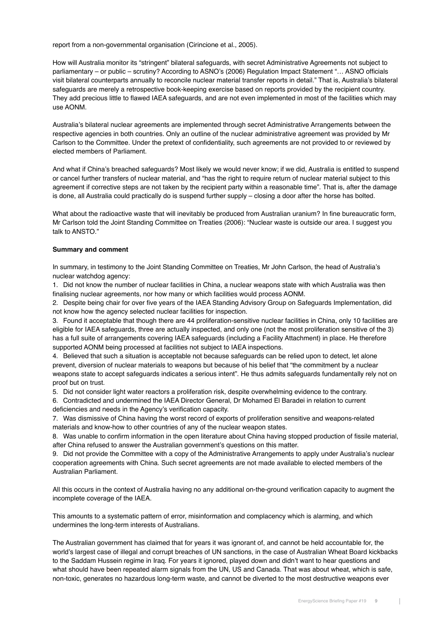report from a non-governmental organisation (Cirincione et al., 2005).

How will Australia monitor its "stringent" bilateral safeguards, with secret Administrative Agreements not subject to parliamentary – or public – scrutiny? According to ASNO's (2006) Regulation Impact Statement "… ASNO officials visit bilateral counterparts annually to reconcile nuclear material transfer reports in detail." That is, Australia's bilateral safeguards are merely a retrospective book-keeping exercise based on reports provided by the recipient country. They add precious little to flawed IAEA safeguards, and are not even implemented in most of the facilities which may use AONM.

Australia's bilateral nuclear agreements are implemented through secret Administrative Arrangements between the respective agencies in both countries. Only an outline of the nuclear administrative agreement was provided by Mr Carlson to the Committee. Under the pretext of confidentiality, such agreements are not provided to or reviewed by elected members of Parliament.

And what if China's breached safeguards? Most likely we would never know; if we did, Australia is entitled to suspend or cancel further transfers of nuclear material, and "has the right to require return of nuclear material subject to this agreement if corrective steps are not taken by the recipient party within a reasonable time". That is, after the damage is done, all Australia could practically do is suspend further supply – closing a door after the horse has bolted.

What about the radioactive waste that will inevitably be produced from Australian uranium? In fine bureaucratic form, Mr Carlson told the Joint Standing Committee on Treaties (2006): "Nuclear waste is outside our area. I suggest you talk to ANSTO."

### **Summary and comment**

In summary, in testimony to the Joint Standing Committee on Treaties, Mr John Carlson, the head of Australia's nuclear watchdog agency:

1. Did not know the number of nuclear facilities in China, a nuclear weapons state with which Australia was then finalising nuclear agreements, nor how many or which facilities would process AONM.

2. Despite being chair for over five years of the IAEA Standing Advisory Group on Safeguards Implementation, did not know how the agency selected nuclear facilities for inspection.

3. Found it acceptable that though there are 44 proliferation-sensitive nuclear facilities in China, only 10 facilities are eligible for IAEA safeguards, three are actually inspected, and only one (not the most proliferation sensitive of the 3) has a full suite of arrangements covering IAEA safeguards (including a Facility Attachment) in place. He therefore supported AONM being processed at facilities not subject to IAEA inspections.

4. Believed that such a situation is acceptable not because safeguards can be relied upon to detect, let alone prevent, diversion of nuclear materials to weapons but because of his belief that "the commitment by a nuclear weapons state to accept safeguards indicates a serious intent". He thus admits safeguards fundamentally rely not on proof but on trust.

5. Did not consider light water reactors a proliferation risk, despite overwhelming evidence to the contrary.

6. Contradicted and undermined the IAEA Director General, Dr Mohamed El Baradei in relation to current deficiencies and needs in the Agency's verification capacity.

7. Was dismissive of China having the worst record of exports of proliferation sensitive and weapons-related materials and know-how to other countries of any of the nuclear weapon states.

8. Was unable to confirm information in the open literature about China having stopped production of fissile material, after China refused to answer the Australian government's questions on this matter.

9. Did not provide the Committee with a copy of the Administrative Arrangements to apply under Australia's nuclear cooperation agreements with China. Such secret agreements are not made available to elected members of the Australian Parliament.

All this occurs in the context of Australia having no any additional on-the-ground verification capacity to augment the incomplete coverage of the IAEA.

This amounts to a systematic pattern of error, misinformation and complacency which is alarming, and which undermines the long-term interests of Australians.

The Australian government has claimed that for years it was ignorant of, and cannot be held accountable for, the world's largest case of illegal and corrupt breaches of UN sanctions, in the case of Australian Wheat Board kickbacks to the Saddam Hussein regime in Iraq. For years it ignored, played down and didn't want to hear questions and what should have been repeated alarm signals from the UN, US and Canada. That was about wheat, which is safe, non-toxic, generates no hazardous long-term waste, and cannot be diverted to the most destructive weapons ever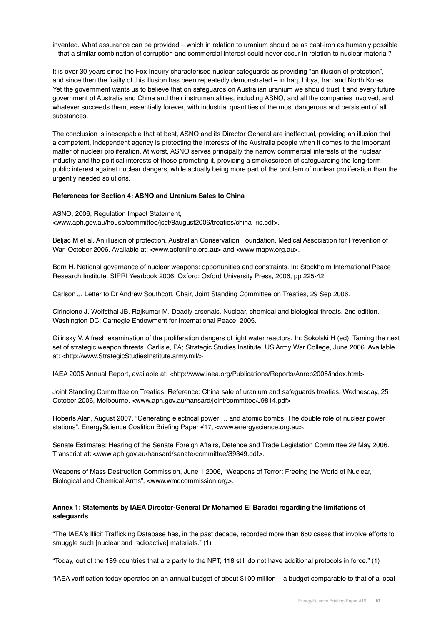invented. What assurance can be provided – which in relation to uranium should be as cast-iron as humanly possible – that a similar combination of corruption and commercial interest could never occur in relation to nuclear material?

It is over 30 years since the Fox Inquiry characterised nuclear safeguards as providing "an illusion of protection", and since then the frailty of this illusion has been repeatedly demonstrated – in Iraq, Libya, Iran and North Korea. Yet the government wants us to believe that on safeguards on Australian uranium we should trust it and every future government of Australia and China and their instrumentalities, including ASNO, and all the companies involved, and whatever succeeds them, essentially forever, with industrial quantities of the most dangerous and persistent of all substances.

The conclusion is inescapable that at best, ASNO and its Director General are ineffectual, providing an illusion that a competent, independent agency is protecting the interests of the Australia people when it comes to the important matter of nuclear proliferation. At worst, ASNO serves principally the narrow commercial interests of the nuclear industry and the political interests of those promoting it, providing a smokescreen of safeguarding the long-term public interest against nuclear dangers, while actually being more part of the problem of nuclear proliferation than the urgently needed solutions.

#### **References for Section 4: ASNO and Uranium Sales to China**

ASNO, 2006, Regulation Impact Statement, <www.aph.gov.au/house/committee/jsct/8august2006/treaties/china\_ris.pdf>.

Beljac M et al. An illusion of protection. Australian Conservation Foundation, Medical Association for Prevention of War. October 2006. Available at: <www.acfonline.org.au> and <www.mapw.org.au>.

Born H. National governance of nuclear weapons: opportunities and constraints. In: Stockholm International Peace Research Institute. SIPRI Yearbook 2006. Oxford: Oxford University Press, 2006, pp 225-42.

Carlson J. Letter to Dr Andrew Southcott, Chair, Joint Standing Committee on Treaties, 29 Sep 2006.

Cirincione J, Wolfsthal JB, Rajkumar M. Deadly arsenals. Nuclear, chemical and biological threats. 2nd edition. Washington DC; Carnegie Endowment for International Peace, 2005.

Gilinsky V. A fresh examination of the proliferation dangers of light water reactors. In: Sokolski H (ed). Taming the next set of strategic weapon threats. Carlisle, PA; Strategic Studies Institute, US Army War College, June 2006. Available at: <http://www.StrategicStudiesInstitute.army.mil/>

IAEA 2005 Annual Report, available at: <http://www.iaea.org/Publications/Reports/Anrep2005/index.html>

Joint Standing Committee on Treaties. Reference: China sale of uranium and safeguards treaties. Wednesday, 25 October 2006, Melbourne. <www.aph.gov.au/hansard/joint/commttee/J9814.pdf>

Roberts Alan, August 2007, "Generating electrical power … and atomic bombs. The double role of nuclear power stations". EnergyScience Coalition Briefing Paper #17, <www.energyscience.org.au>.

Senate Estimates: Hearing of the Senate Foreign Affairs, Defence and Trade Legislation Committee 29 May 2006. Transcript at: <www.aph.gov.au/hansard/senate/committee/S9349.pdf>.

Weapons of Mass Destruction Commission, June 1 2006, "Weapons of Terror: Freeing the World of Nuclear, Biological and Chemical Arms", <www.wmdcommission.org>.

### **Annex 1: Statements by IAEA Director-General Dr Mohamed El Baradei regarding the limitations of safeguards**

"The IAEA's Illicit Trafficking Database has, in the past decade, recorded more than 650 cases that involve efforts to smuggle such [nuclear and radioactive] materials." (1)

"Today, out of the 189 countries that are party to the NPT, 118 still do not have additional protocols in force." (1)

"IAEA verification today operates on an annual budget of about \$100 million – a budget comparable to that of a local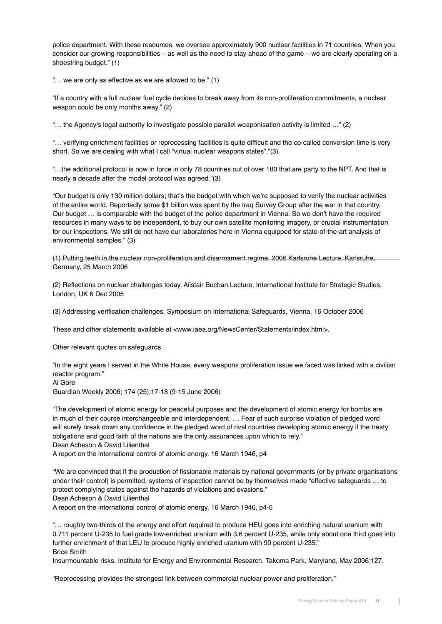police department. With these resources, we oversee approximately 900 nuclear facilities in 71 countries. When you consider our growing responsibilities – as well as the need to stay ahead of the game – we are clearly operating on a shoestring budget." (1)

"… we are only as effective as we are allowed to be." (1)

"If a country with a full nuclear fuel cycle decides to break away from its non-proliferation commitments, a nuclear weapon could be only months away." (2)

"… the Agency's legal authority to investigate possible parallel weaponisation activity is limited …" (2)

"… verifying enrichment facilities or reprocessing facilities is quite difficult and the co-called conversion time is very short. So we are dealing with what I call "virtual nuclear weapons states"."(3)

"…the additional protocol is now in force in only 78 countries out of over 180 that are party to the NPT. And that is nearly a decade after the model protocol was agreed."(3)

"Our budget is only 130 million dollars; that's the budget with which we're supposed to verify the nuclear activities of the entire world. Reportedly some \$1 billion was spent by the Iraq Survey Group after the war in that country. Our budget … is comparable with the budget of the police department in Vienna. So we don't have the required resources in many ways to be independent, to buy our own satellite monitoring imagery, or crucial instrumentation for our inspections. We still do not have our laboratories here in Vienna equipped for state-of-the-art analysis of environmental samples." (3)

(1) Putting teeth in the nuclear non-proliferation and disarmament regime. 2006 Karlsruhe Lecture, Karlsruhe, Germany, 25 March 2006

(2) Reflections on nuclear challenges today. Alistair Buchan Lecture, International Institute for Strategic Studies, London, UK 6 Dec 2005

(3) Addressing verification challenges. Symposium on International Safeguards, Vienna, 16 October 2006

These and other statements available at <www.iaea.org/NewsCenter/Statements/index.html>.

Other relevant quotes on safeguards

"In the eight years I served in the White House, every weapons proliferation issue we faced was linked with a civilian reactor program."

Al Gore

Guardian Weekly 2006; 174 (25):17-18 (9-15 June 2006)

"The development of atomic energy for peaceful purposes and the development of atomic energy for bombs are in much of their course interchangeable and interdependent. … Fear of such surprise violation of pledged word will surely break down any confidence in the pledged word of rival countries developing atomic energy if the treaty obligations and good faith of the nations are the only assurances upon which to rely."

Dean Acheson & David Lilienthal

A report on the international control of atomic energy. 16 March 1946, p4

"We are convinced that if the production of fissionable materials by national governments (or by private organisations under their control) is permitted, systems of inspection cannot be by themselves made "effective safeguards … to protect complying states against the hazards of violations and evasions."

Dean Acheson & David Lilienthal

A report on the international control of atomic energy. 16 March 1946, p4-5

"… roughly two-thirds of the energy and effort required to produce HEU goes into enriching natural uranium with 0.711 percent U-235 to fuel grade low-enriched uranium with 3.6 percent U-235, while only about one third goes into further enrichment of that LEU to produce highly enriched uranium with 90 percent U-235." Brice Smith

Insurmountable risks. Institute for Energy and Environmental Research. Takoma Park, Maryland, May 2006:127.

"Reprocessing provides the strongest link between commercial nuclear power and proliferation."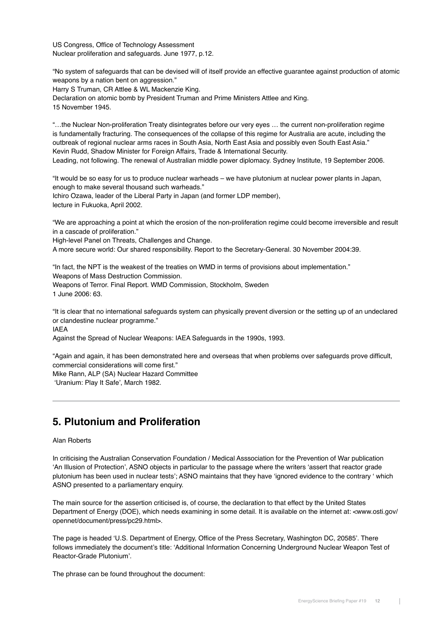US Congress, Office of Technology Assessment Nuclear proliferation and safeguards. June 1977, p.12.

"No system of safeguards that can be devised will of itself provide an effective guarantee against production of atomic weapons by a nation bent on aggression."

Harry S Truman, CR Attlee & WL Mackenzie King.

Declaration on atomic bomb by President Truman and Prime Ministers Attlee and King. 15 November 1945.

"…the Nuclear Non-proliferation Treaty disintegrates before our very eyes … the current non-proliferation regime is fundamentally fracturing. The consequences of the collapse of this regime for Australia are acute, including the outbreak of regional nuclear arms races in South Asia, North East Asia and possibly even South East Asia." Kevin Rudd, Shadow Minister for Foreign Affairs, Trade & International Security. Leading, not following. The renewal of Australian middle power diplomacy. Sydney Institute, 19 September 2006.

"It would be so easy for us to produce nuclear warheads – we have plutonium at nuclear power plants in Japan, enough to make several thousand such warheads." Ichiro Ozawa, leader of the Liberal Party in Japan (and former LDP member), lecture in Fukuoka, April 2002.

"We are approaching a point at which the erosion of the non-proliferation regime could become irreversible and result in a cascade of proliferation."

High-level Panel on Threats, Challenges and Change.

A more secure world: Our shared responsibility. Report to the Secretary-General. 30 November 2004:39.

"In fact, the NPT is the weakest of the treaties on WMD in terms of provisions about implementation." Weapons of Mass Destruction Commission. Weapons of Terror. Final Report. WMD Commission, Stockholm, Sweden 1 June 2006: 63.

"It is clear that no international safeguards system can physically prevent diversion or the setting up of an undeclared or clandestine nuclear programme."

IAEA

Against the Spread of Nuclear Weapons: IAEA Safeguards in the 1990s, 1993.

"Again and again, it has been demonstrated here and overseas that when problems over safeguards prove difficult, commercial considerations will come first." Mike Rann, ALP (SA) Nuclear Hazard Committee

'Uranium: Play It Safe', March 1982.

## **5. Plutonium and Proliferation**

## Alan Roberts

In criticising the Australian Conservation Foundation / Medical Asssociation for the Prevention of War publication 'An Illusion of Protection', ASNO objects in particular to the passage where the writers 'assert that reactor grade plutonium has been used in nuclear tests'; ASNO maintains that they have 'ignored evidence to the contrary ' which ASNO presented to a parliamentary enquiry.

The main source for the assertion criticised is, of course, the declaration to that effect by the United States Department of Energy (DOE), which needs examining in some detail. It is available on the internet at: <www.osti.gov/ opennet/document/press/pc29.html>.

The page is headed 'U.S. Department of Energy, Office of the Press Secretary, Washington DC, 20585'. There follows immediately the document's title: 'Additional Information Concerning Underground Nuclear Weapon Test of Reactor-Grade Plutonium'.

The phrase can be found throughout the document: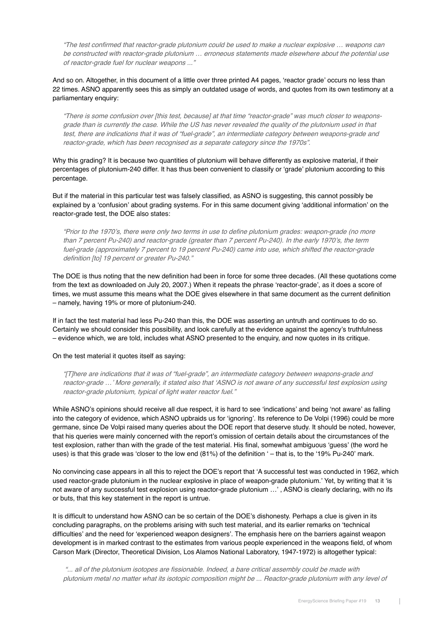"The test confirmed that reactor-grade plutonium could be used to make a nuclear explosive … weapons can be constructed with reactor-grade plutonium … erroneous statements made elsewhere about the potential use of reactor-grade fuel for nuclear weapons ..."

And so on. Altogether, in this document of a little over three printed A4 pages, 'reactor grade' occurs no less than 22 times. ASNO apparently sees this as simply an outdated usage of words, and quotes from its own testimony at a parliamentary enquiry:

"There is some confusion over [this test, because] at that time "reactor-grade" was much closer to weaponsgrade than is currently the case. While the US has never revealed the quality of the plutonium used in that test, there are indications that it was of "fuel-grade", an intermediate category between weapons-grade and reactor-grade, which has been recognised as a separate category since the 1970s".

Why this grading? It is because two quantities of plutonium will behave differently as explosive material. if their percentages of plutonium-240 differ. It has thus been convenient to classify or 'grade' plutonium according to this percentage.

But if the material in this particular test was falsely classified, as ASNO is suggesting, this cannot possibly be explained by a 'confusion' about grading systems. For in this same document giving 'additional information' on the reactor-grade test, the DOE also states:

"Prior to the 1970's, there were only two terms in use to define plutonium grades: weapon-grade (no more than 7 percent Pu-240) and reactor-grade (greater than 7 percent Pu-240). In the early 1970's, the term fuel-grade (approximately 7 percent to 19 percent Pu-240) came into use, which shifted the reactor-grade definition [to] 19 percent or greater Pu-240."

The DOE is thus noting that the new definition had been in force for some three decades. (All these quotations come from the text as downloaded on July 20, 2007.) When it repeats the phrase 'reactor-grade', as it does a score of times, we must assume this means what the DOE gives elsewhere in that same document as the current definition – namely, having 19% or more of plutonium-240.

If in fact the test material had less Pu-240 than this, the DOE was asserting an untruth and continues to do so. Certainly we should consider this possibility, and look carefully at the evidence against the agency's truthfulness – evidence which, we are told, includes what ASNO presented to the enquiry, and now quotes in its critique.

### On the test material it quotes itself as saying:

"[T]here are indications that it was of "fuel-grade", an intermediate category between weapons-grade and reactor-grade …' More generally, it stated also that 'ASNO is not aware of any successful test explosion using reactor-grade plutonium, typical of light water reactor fuel."

While ASNO's opinions should receive all due respect, it is hard to see 'indications' and being 'not aware' as falling into the category of evidence, which ASNO upbraids us for 'ignoring'. Its reference to De Volpi (1996) could be more germane, since De Volpi raised many queries about the DOE report that deserve study. It should be noted, however, that his queries were mainly concerned with the report's omission of certain details about the circumstances of the test explosion, rather than with the grade of the test material. His final, somewhat ambiguous 'guess' (the word he uses) is that this grade was 'closer to the low end (81%) of the definition ' – that is, to the '19% Pu-240' mark.

No convincing case appears in all this to reject the DOE's report that 'A successful test was conducted in 1962, which used reactor-grade plutonium in the nuclear explosive in place of weapon-grade plutonium.' Yet, by writing that it 'is not aware of any successful test explosion using reactor-grade plutonium …' , ASNO is clearly declaring, with no ifs or buts, that this key statement in the report is untrue.

It is difficult to understand how ASNO can be so certain of the DOE's dishonesty. Perhaps a clue is given in its concluding paragraphs, on the problems arising with such test material, and its earlier remarks on 'technical difficulties' and the need for 'experienced weapon designers'. The emphasis here on the barriers against weapon development is in marked contrast to the estimates from various people experienced in the weapons field, of whom Carson Mark (Director, Theoretical Division, Los Alamos National Laboratory, 1947-1972) is altogether typical:

 "... all of the plutonium isotopes are fissionable. Indeed, a bare critical assembly could be made with plutonium metal no matter what its isotopic composition might be ... Reactor-grade plutonium with any level of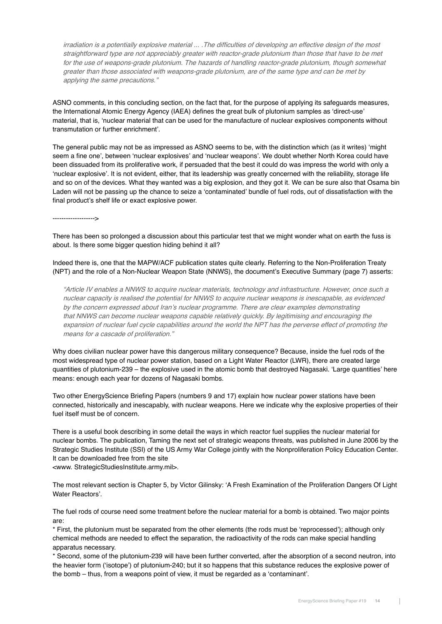irradiation is a potentially explosive material ... .The difficulties of developing an effective design of the most straightforward type are not appreciably greater with reactor-grade plutonium than those that have to be met for the use of weapons-grade plutonium. The hazards of handling reactor-grade plutonium, though somewhat greater than those associated with weapons-grade plutonium, are of the same type and can be met by applying the same precautions."

ASNO comments, in this concluding section, on the fact that, for the purpose of applying its safeguards measures, the International Atomic Energy Agency (IAEA) defines the great bulk of plutonium samples as 'direct-use' material, that is, 'nuclear material that can be used for the manufacture of nuclear explosives components without transmutation or further enrichment'.

The general public may not be as impressed as ASNO seems to be, with the distinction which (as it writes) 'might seem a fine one', between 'nuclear explosives' and 'nuclear weapons'. We doubt whether North Korea could have been dissuaded from its proliferative work, if persuaded that the best it could do was impress the world with only a 'nuclear explosive'. It is not evident, either, that its leadership was greatly concerned with the reliability, storage life and so on of the devices. What they wanted was a big explosion, and they got it. We can be sure also that Osama bin Laden will not be passing up the chance to seize a 'contaminated' bundle of fuel rods, out of dissatisfaction with the final product's shelf life or exact explosive power.

------------------->

There has been so prolonged a discussion about this particular test that we might wonder what on earth the fuss is about. Is there some bigger question hiding behind it all?

Indeed there is, one that the MAPW/ACF publication states quite clearly. Referring to the Non-Proliferation Treaty (NPT) and the role of a Non-Nuclear Weapon State (NNWS), the document's Executive Summary (page 7) asserts:

"Article IV enables a NNWS to acquire nuclear materials, technology and infrastructure. However, once such a nuclear capacity is realised the potential for NNWS to acquire nuclear weapons is inescapable, as evidenced by the concern expressed about Iran's nuclear programme. There are clear examples demonstrating that NNWS can become nuclear weapons capable relatively quickly. By legitimising and encouraging the expansion of nuclear fuel cycle capabilities around the world the NPT has the perverse effect of promoting the means for a cascade of proliferation."

Why does civilian nuclear power have this dangerous military consequence? Because, inside the fuel rods of the most widespread type of nuclear power station, based on a Light Water Reactor (LWR), there are created large quantities of plutonium-239 – the explosive used in the atomic bomb that destroyed Nagasaki. 'Large quantities' here means: enough each year for dozens of Nagasaki bombs.

Two other EnergyScience Briefing Papers (numbers 9 and 17) explain how nuclear power stations have been connected, historically and inescapably, with nuclear weapons. Here we indicate why the explosive properties of their fuel itself must be of concern.

There is a useful book describing in some detail the ways in which reactor fuel supplies the nuclear material for nuclear bombs. The publication, Taming the next set of strategic weapons threats, was published in June 2006 by the Strategic Studies Institute (SSI) of the US Army War College jointly with the Nonproliferation Policy Education Center. It can be downloaded free from the site

<www. StrategicStudiesInstitute.army.mil>.

The most relevant section is Chapter 5, by Victor Gilinsky: 'A Fresh Examination of the Proliferation Dangers Of Light Water Reactors'.

The fuel rods of course need some treatment before the nuclear material for a bomb is obtained. Two major points are:

\* First, the plutonium must be separated from the other elements (the rods must be 'reprocessed'); although only chemical methods are needed to effect the separation, the radioactivity of the rods can make special handling apparatus necessary.

\* Second, some of the plutonium-239 will have been further converted, after the absorption of a second neutron, into the heavier form ('isotope') of plutonium-240; but it so happens that this substance reduces the explosive power of the bomb – thus, from a weapons point of view, it must be regarded as a 'contaminant'.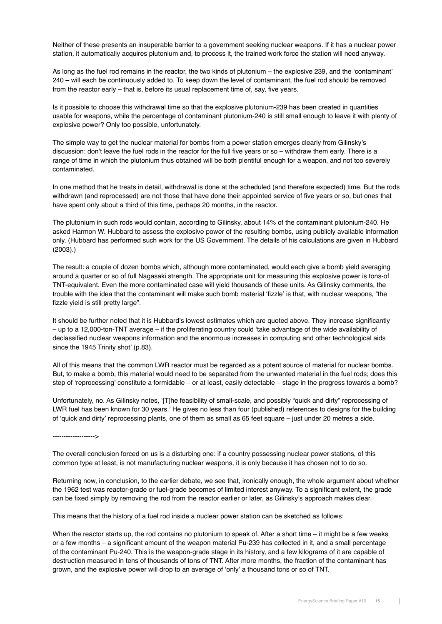Neither of these presents an insuperable barrier to a government seeking nuclear weapons. If it has a nuclear power station, it automatically acquires plutonium and, to process it, the trained work force the station will need anyway.

As long as the fuel rod remains in the reactor, the two kinds of plutonium – the explosive 239, and the 'contaminant' 240 – will each be continuously added to. To keep down the level of contaminant, the fuel rod should be removed from the reactor early – that is, before its usual replacement time of, say, five years.

Is it possible to choose this withdrawal time so that the explosive plutonium-239 has been created in quantities usable for weapons, while the percentage of contaminant plutonium-240 is still small enough to leave it with plenty of explosive power? Only too possible, unfortunately.

The simple way to get the nuclear material for bombs from a power station emerges clearly from Gilinsky's discussion: don't leave the fuel rods in the reactor for the full five years or so – withdraw them early. There is a range of time in which the plutonium thus obtained will be both plentiful enough for a weapon, and not too severely contaminated.

In one method that he treats in detail, withdrawal is done at the scheduled (and therefore expected) time. But the rods withdrawn (and reprocessed) are not those that have done their appointed service of five years or so, but ones that have spent only about a third of this time, perhaps 20 months, in the reactor.

The plutonium in such rods would contain, according to Gilinsky, about 14% of the contaminant plutonium-240. He asked Harmon W. Hubbard to assess the explosive power of the resulting bombs, using publicly available information only. (Hubbard has performed such work for the US Government. The details of his calculations are given in Hubbard (2003).)

The result: a couple of dozen bombs which, although more contaminated, would each give a bomb yield averaging around a quarter or so of full Nagasaki strength. The appropriate unit for measuring this explosive power is tons-of TNT-equivalent. Even the more contaminated case will yield thousands of these units. As Gilinsky comments, the trouble with the idea that the contaminant will make such bomb material 'fizzle' is that, with nuclear weapons, "the fizzle yield is still pretty large".

It should be further noted that it is Hubbard's lowest estimates which are quoted above. They increase significantly – up to a 12,000-ton-TNT average – if the proliferating country could 'take advantage of the wide availability of declassified nuclear weapons information and the enormous increases in computing and other technological aids since the 1945 Trinity shot' (p.83).

All of this means that the common LWR reactor must be regarded as a potent source of material for nuclear bombs. But, to make a bomb, this material would need to be separated from the unwanted material in the fuel rods; does this step of 'reprocessing' constitute a formidable – or at least, easily detectable – stage in the progress towards a bomb?

Unfortunately, no. As Gilinsky notes, '[T]he feasibility of small-scale, and possibly "quick and dirty" reprocessing of LWR fuel has been known for 30 years.' He gives no less than four (published) references to designs for the building of 'quick and dirty' reprocessing plants, one of them as small as 65 feet square – just under 20 metres a side.

------------------->

The overall conclusion forced on us is a disturbing one: if a country possessing nuclear power stations, of this common type at least, is not manufacturing nuclear weapons, it is only because it has chosen not to do so.

Returning now, in conclusion, to the earlier debate, we see that, ironically enough, the whole argument about whether the 1962 test was reactor-grade or fuel-grade becomes of limited interest anyway. To a significant extent, the grade can be fixed simply by removing the rod from the reactor earlier or later, as Gilinsky's approach makes clear.

This means that the history of a fuel rod inside a nuclear power station can be sketched as follows:

When the reactor starts up, the rod contains no plutonium to speak of. After a short time – it might be a few weeks or a few months – a significant amount of the weapon material Pu-239 has collected in it, and a small percentage of the contaminant Pu-240. This is the weapon-grade stage in its history, and a few kilograms of it are capable of destruction measured in tens of thousands of tons of TNT. After more months, the fraction of the contaminant has grown, and the explosive power will drop to an average of 'only' a thousand tons or so of TNT.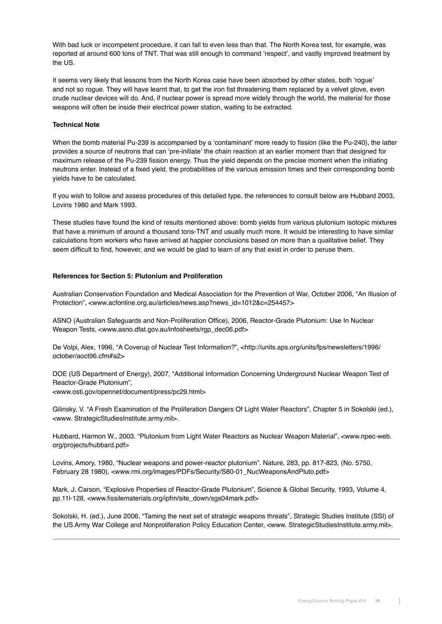With bad luck or incompetent procedure, it can fall to even less than that. The North Korea test, for example, was reported at around 600 tons of TNT. That was still enough to command 'respect', and vastly improved treatment by the US.

It seems very likely that lessons from the North Korea case have been absorbed by other states, both 'rogue' and not so rogue. They will have learnt that, to get the iron fist threatening them replaced by a velvet glove, even crude nuclear devices will do. And, if nuclear power is spread more widely through the world, the material for those weapons will often be inside their electrical power station, waiting to be extracted.

## **Technical Note**

When the bomb material Pu-239 is accompanied by a 'contaminant' more ready to fission (like the Pu-240), the latter provides a source of neutrons that can 'pre-initiate' the chain reaction at an earlier moment than that designed for maximum release of the Pu-239 fission energy. Thus the yield depends on the precise moment when the initiating neutrons enter. Instead of a fixed yield, the probabilities of the various emission times and their corresponding bomb yields have to be calculated.

If you wish to follow and assess procedures of this detailed type, the references to consult below are Hubbard 2003, Lovins 1980 and Mark 1993.

These studies have found the kind of results mentioned above: bomb yields from various plutonium isotopic mixtures that have a minimum of around a thousand tons-TNT and usually much more. It would be interesting to have similar calculations from workers who have arrived at happier conclusions based on more than a qualitative belief. They seem difficult to find, however, and we would be glad to learn of any that exist in order to peruse them.

### **References for Section 5: Plutonium and Proliferation**

Australian Conservation Foundation and Medical Association for the Prevention of War, October 2006, "An Illusion of Protection", <www.acfonline.org.au/articles/news.asp?news\_id=1012&c=254457>

ASNO (Australian Safeguards and Non-Proliferation Office), 2006, Reactor-Grade Plutonium: Use In Nuclear Weapon Tests, <www.asno.dfat.gov.au/infosheets/rgp\_dec06.pdf>

De Volpi, Alex, 1996, "A Coverup of Nuclear Test Information?", <http://units.aps.org/units/fps/newsletters/1996/ october/aoct96.cfm#a2>

DOE (US Department of Energy), 2007, "Additional Information Concerning Underground Nuclear Weapon Test of Reactor-Grade Plutonium",

<www.osti.gov/opennet/document/press/pc29.html>

Gilinsky, V. "A Fresh Examination of the Proliferation Dangers Of Light Water Reactors", Chapter 5 in Sokolski (ed.), <www. StrategicStudiesInstitute.army.mil>.

Hubbard, Harmon W., 2003. "Plutonium from Light Water Reactors as Nuclear Weapon Material", <www.npec-web. org/projects/hubbard.pdf>

Lovins, Amory, 1980, "Nuclear weapons and power-reactor plutonium". Nature, 283, pp. 817-823, (No. 5750, February 28 1980), <www.rmi.org/images/PDFs/Security/S80-01\_NucWeaponsAndPluto.pdf>

Mark, J. Carson, "Explosive Properties of Reactor-Grade Plutonium", Science & Global Security, 1993, Volume 4, pp.11l-128, <www.fissilematerials.org/ipfm/site\_down/sgs04mark.pdf>

Sokolski, H. (ed.), June 2006, "Taming the next set of strategic weapons threats", Strategic Studies Institute (SSI) of the US Army War College and Nonproliferation Policy Education Center, <www. StrategicStudiesInstitute.army.mil>.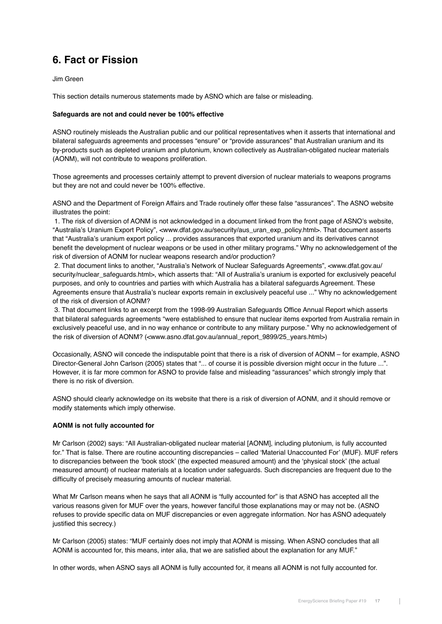# **6. Fact or Fission**

Jim Green

This section details numerous statements made by ASNO which are false or misleading.

### **Safeguards are not and could never be 100% effective**

ASNO routinely misleads the Australian public and our political representatives when it asserts that international and bilateral safeguards agreements and processes "ensure" or "provide assurances" that Australian uranium and its by-products such as depleted uranium and plutonium, known collectively as Australian-obligated nuclear materials (AONM), will not contribute to weapons proliferation.

Those agreements and processes certainly attempt to prevent diversion of nuclear materials to weapons programs but they are not and could never be 100% effective.

ASNO and the Department of Foreign Affairs and Trade routinely offer these false "assurances". The ASNO website illustrates the point:

 1. The risk of diversion of AONM is not acknowledged in a document linked from the front page of ASNO's website, "Australia's Uranium Export Policy", <www.dfat.gov.au/security/aus\_uran\_exp\_policy.html>. That document asserts that "Australia's uranium export policy ... provides assurances that exported uranium and its derivatives cannot benefit the development of nuclear weapons or be used in other military programs." Why no acknowledgement of the risk of diversion of AONM for nuclear weapons research and/or production?

 2. That document links to another, "Australia's Network of Nuclear Safeguards Agreements", <www.dfat.gov.au/ security/nuclear\_safeguards.html>, which asserts that: "All of Australia's uranium is exported for exclusively peaceful purposes, and only to countries and parties with which Australia has a bilateral safeguards Agreement. These Agreements ensure that Australia's nuclear exports remain in exclusively peaceful use ..." Why no acknowledgement of the risk of diversion of AONM?

 3. That document links to an excerpt from the 1998-99 Australian Safeguards Office Annual Report which asserts that bilateral safeguards agreements "were established to ensure that nuclear items exported from Australia remain in exclusively peaceful use, and in no way enhance or contribute to any military purpose." Why no acknowledgement of the risk of diversion of AONM? (<www.asno.dfat.gov.au/annual\_report\_9899/25\_years.html>)

Occasionally, ASNO will concede the indisputable point that there is a risk of diversion of AONM – for example, ASNO Director-General John Carlson (2005) states that "... of course it is possible diversion might occur in the future ...". However, it is far more common for ASNO to provide false and misleading "assurances" which strongly imply that there is no risk of diversion.

ASNO should clearly acknowledge on its website that there is a risk of diversion of AONM, and it should remove or modify statements which imply otherwise.

## **AONM is not fully accounted for**

Mr Carlson (2002) says: "All Australian-obligated nuclear material [AONM], including plutonium, is fully accounted for." That is false. There are routine accounting discrepancies – called 'Material Unaccounted For' (MUF). MUF refers to discrepancies between the 'book stock' (the expected measured amount) and the 'physical stock' (the actual measured amount) of nuclear materials at a location under safeguards. Such discrepancies are frequent due to the difficulty of precisely measuring amounts of nuclear material.

What Mr Carlson means when he says that all AONM is "fully accounted for" is that ASNO has accepted all the various reasons given for MUF over the years, however fanciful those explanations may or may not be. (ASNO refuses to provide specific data on MUF discrepancies or even aggregate information. Nor has ASNO adequately justified this secrecy.)

Mr Carlson (2005) states: "MUF certainly does not imply that AONM is missing. When ASNO concludes that all AONM is accounted for, this means, inter alia, that we are satisfied about the explanation for any MUF."

In other words, when ASNO says all AONM is fully accounted for, it means all AONM is not fully accounted for.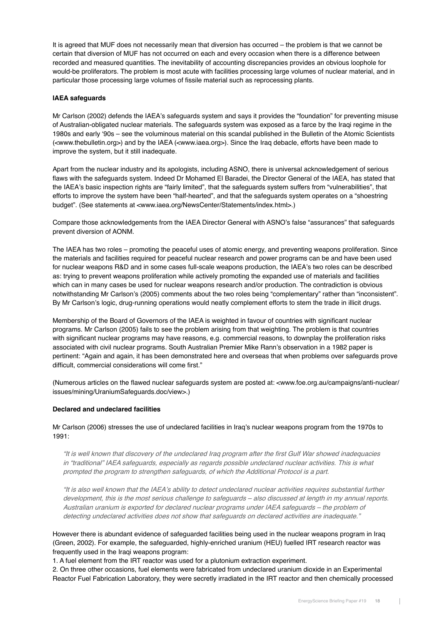It is agreed that MUF does not necessarily mean that diversion has occurred – the problem is that we cannot be certain that diversion of MUF has not occurred on each and every occasion when there is a difference between recorded and measured quantities. The inevitability of accounting discrepancies provides an obvious loophole for would-be proliferators. The problem is most acute with facilities processing large volumes of nuclear material, and in particular those processing large volumes of fissile material such as reprocessing plants.

## **IAEA safeguards**

Mr Carlson (2002) defends the IAEA's safeguards system and says it provides the "foundation" for preventing misuse of Australian-obligated nuclear materials. The safeguards system was exposed as a farce by the Iraqi regime in the 1980s and early '90s – see the voluminous material on this scandal published in the Bulletin of the Atomic Scientists (<www.thebulletin.org>) and by the IAEA (<www.iaea.org>). Since the Iraq debacle, efforts have been made to improve the system, but it still inadequate.

Apart from the nuclear industry and its apologists, including ASNO, there is universal acknowledgement of serious flaws with the safeguards system. Indeed Dr Mohamed El Baradei, the Director General of the IAEA, has stated that the IAEA's basic inspection rights are "fairly limited", that the safeguards system suffers from "vulnerabilities", that efforts to improve the system have been "half-hearted", and that the safeguards system operates on a "shoestring budget". (See statements at <www.iaea.org/NewsCenter/Statements/index.html>.)

Compare those acknowledgements from the IAEA Director General with ASNO's false "assurances" that safeguards prevent diversion of AONM.

The IAEA has two roles – promoting the peaceful uses of atomic energy, and preventing weapons proliferation. Since the materials and facilities required for peaceful nuclear research and power programs can be and have been used for nuclear weapons R&D and in some cases full-scale weapons production, the IAEA's two roles can be described as: trying to prevent weapons proliferation while actively promoting the expanded use of materials and facilities which can in many cases be used for nuclear weapons research and/or production. The contradiction is obvious notwithstanding Mr Carlson's (2005) comments about the two roles being "complementary" rather than "inconsistent". By Mr Carlson's logic, drug-running operations would neatly complement efforts to stem the trade in illicit drugs.

Membership of the Board of Governors of the IAEA is weighted in favour of countries with significant nuclear programs. Mr Carlson (2005) fails to see the problem arising from that weighting. The problem is that countries with significant nuclear programs may have reasons, e.g. commercial reasons, to downplay the proliferation risks associated with civil nuclear programs. South Australian Premier Mike Rann's observation in a 1982 paper is pertinent: "Again and again, it has been demonstrated here and overseas that when problems over safeguards prove difficult, commercial considerations will come first."

(Numerous articles on the flawed nuclear safeguards system are posted at: <www.foe.org.au/campaigns/anti-nuclear/ issues/mining/UraniumSafeguards.doc/view>.)

### **Declared and undeclared facilities**

Mr Carlson (2006) stresses the use of undeclared facilities in Iraq's nuclear weapons program from the 1970s to 1991:

"It is well known that discovery of the undeclared Iraq program after the first Gulf War showed inadequacies in "traditional" IAEA safeguards, especially as regards possible undeclared nuclear activities. This is what prompted the program to strengthen safeguards, of which the Additional Protocol is a part.

"It is also well known that the IAEA's ability to detect undeclared nuclear activities requires substantial further development, this is the most serious challenge to safeguards – also discussed at length in my annual reports. Australian uranium is exported for declared nuclear programs under IAEA safeguards – the problem of detecting undeclared activities does not show that safeguards on declared activities are inadequate."

However there is abundant evidence of safeguarded facilities being used in the nuclear weapons program in Iraq (Green, 2002). For example, the safeguarded, highly-enriched uranium (HEU) fuelled IRT research reactor was frequently used in the Iraqi weapons program:

1. A fuel element from the IRT reactor was used for a plutonium extraction experiment.

2. On three other occasions, fuel elements were fabricated from undeclared uranium dioxide in an Experimental Reactor Fuel Fabrication Laboratory, they were secretly irradiated in the IRT reactor and then chemically processed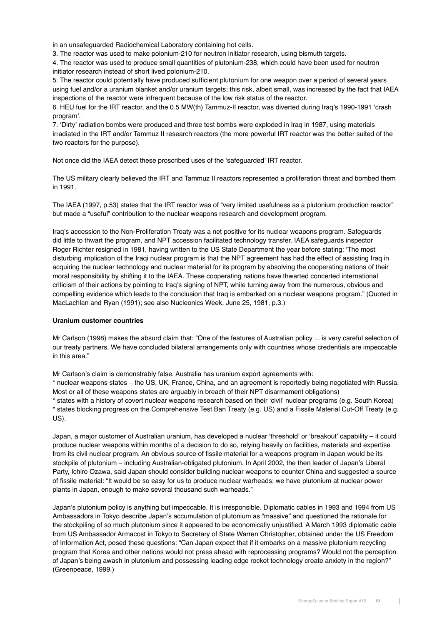in an unsafeguarded Radiochemical Laboratory containing hot cells.

3. The reactor was used to make polonium-210 for neutron initiator research, using bismuth targets.

4. The reactor was used to produce small quantities of plutonium-238, which could have been used for neutron initiator research instead of short lived polonium-210.

5. The reactor could potentially have produced sufficient plutonium for one weapon over a period of several years using fuel and/or a uranium blanket and/or uranium targets; this risk, albeit small, was increased by the fact that IAEA inspections of the reactor were infrequent because of the low risk status of the reactor.

6. HEU fuel for the IRT reactor, and the 0.5 MW(th) Tammuz-II reactor, was diverted during Iraq's 1990-1991 'crash program'.

7. 'Dirty' radiation bombs were produced and three test bombs were exploded in Iraq in 1987, using materials irradiated in the IRT and/or Tammuz II research reactors (the more powerful IRT reactor was the better suited of the two reactors for the purpose).

Not once did the IAEA detect these proscribed uses of the 'safeguarded' IRT reactor.

The US military clearly believed the IRT and Tammuz II reactors represented a proliferation threat and bombed them in 1991.

The IAEA (1997, p.53) states that the IRT reactor was of "very limited usefulness as a plutonium production reactor" but made a "useful" contribution to the nuclear weapons research and development program.

Iraq's accession to the Non-Proliferation Treaty was a net positive for its nuclear weapons program. Safeguards did little to thwart the program, and NPT accession facilitated technology transfer. IAEA safeguards inspector Roger Richter resigned in 1981, having written to the US State Department the year before stating: 'The most disturbing implication of the Iraqi nuclear program is that the NPT agreement has had the effect of assisting Iraq in acquiring the nuclear technology and nuclear material for its program by absolving the cooperating nations of their moral responsibility by shifting it to the IAEA. These cooperating nations have thwarted concerted international criticism of their actions by pointing to Iraq's signing of NPT, while turning away from the numerous, obvious and compelling evidence which leads to the conclusion that Iraq is embarked on a nuclear weapons program." (Quoted in MacLachlan and Ryan (1991); see also Nucleonics Week, June 25, 1981, p.3.)

## **Uranium customer countries**

Mr Carlson (1998) makes the absurd claim that: "One of the features of Australian policy ... is very careful selection of our treaty partners. We have concluded bilateral arrangements only with countries whose credentials are impeccable in this area."

Mr Carlson's claim is demonstrably false. Australia has uranium export agreements with:

\* nuclear weapons states – the US, UK, France, China, and an agreement is reportedly being negotiated with Russia. Most or all of these weapons states are arguably in breach of their NPT disarmament obligations)

\* states with a history of covert nuclear weapons research based on their 'civil' nuclear programs (e.g. South Korea) \* states blocking progress on the Comprehensive Test Ban Treaty (e.g. US) and a Fissile Material Cut-Off Treaty (e.g. US).

Japan, a major customer of Australian uranium, has developed a nuclear 'threshold' or 'breakout' capability – it could produce nuclear weapons within months of a decision to do so, relying heavily on facilities, materials and expertise from its civil nuclear program. An obvious source of fissile material for a weapons program in Japan would be its stockpile of plutonium – including Australian-obligated plutonium. In April 2002, the then leader of Japan's Liberal Party, Ichiro Ozawa, said Japan should consider building nuclear weapons to counter China and suggested a source of fissile material: "It would be so easy for us to produce nuclear warheads; we have plutonium at nuclear power plants in Japan, enough to make several thousand such warheads."

Japan's plutonium policy is anything but impeccable. It is irresponsible. Diplomatic cables in 1993 and 1994 from US Ambassadors in Tokyo describe Japan's accumulation of plutonium as "massive" and questioned the rationale for the stockpiling of so much plutonium since it appeared to be economically unjustified. A March 1993 diplomatic cable from US Ambassador Armacost in Tokyo to Secretary of State Warren Christopher, obtained under the US Freedom of Information Act, posed these questions: "Can Japan expect that if it embarks on a massive plutonium recycling program that Korea and other nations would not press ahead with reprocessing programs? Would not the perception of Japan's being awash in plutonium and possessing leading edge rocket technology create anxiety in the region?" (Greenpeace, 1999.)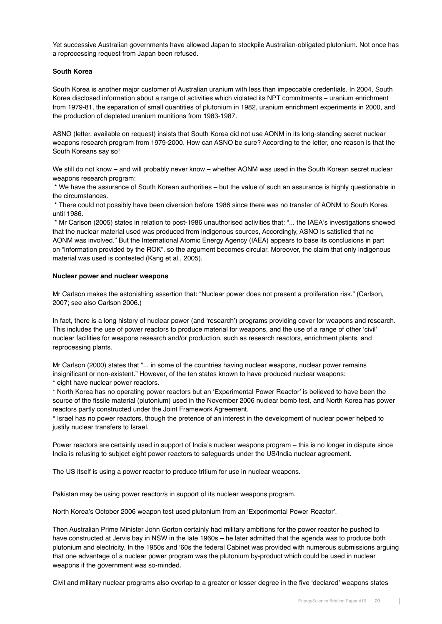Yet successive Australian governments have allowed Japan to stockpile Australian-obligated plutonium. Not once has a reprocessing request from Japan been refused.

### **South Korea**

South Korea is another major customer of Australian uranium with less than impeccable credentials. In 2004, South Korea disclosed information about a range of activities which violated its NPT commitments – uranium enrichment from 1979-81, the separation of small quantities of plutonium in 1982, uranium enrichment experiments in 2000, and the production of depleted uranium munitions from 1983-1987.

ASNO (letter, available on request) insists that South Korea did not use AONM in its long-standing secret nuclear weapons research program from 1979-2000. How can ASNO be sure? According to the letter, one reason is that the South Koreans say so!

We still do not know – and will probably never know – whether AONM was used in the South Korean secret nuclear weapons research program:

 \* We have the assurance of South Korean authorities – but the value of such an assurance is highly questionable in the circumstances.

 \* There could not possibly have been diversion before 1986 since there was no transfer of AONM to South Korea until 1986.

 \* Mr Carlson (2005) states in relation to post-1986 unauthorised activities that: "... the IAEA's investigations showed that the nuclear material used was produced from indigenous sources, Accordingly, ASNO is satisfied that no AONM was involved." But the International Atomic Energy Agency (IAEA) appears to base its conclusions in part on "information provided by the ROK", so the argument becomes circular. Moreover, the claim that only indigenous material was used is contested (Kang et al., 2005).

### **Nuclear power and nuclear weapons**

Mr Carlson makes the astonishing assertion that: "Nuclear power does not present a proliferation risk." (Carlson, 2007; see also Carlson 2006.)

In fact, there is a long history of nuclear power (and 'research') programs providing cover for weapons and research. This includes the use of power reactors to produce material for weapons, and the use of a range of other 'civil' nuclear facilities for weapons research and/or production, such as research reactors, enrichment plants, and reprocessing plants.

Mr Carlson (2000) states that "... in some of the countries having nuclear weapons, nuclear power remains insignificant or non-existent." However, of the ten states known to have produced nuclear weapons:

\* eight have nuclear power reactors.

\* North Korea has no operating power reactors but an 'Experimental Power Reactor' is believed to have been the source of the fissile material (plutonium) used in the November 2006 nuclear bomb test, and North Korea has power reactors partly constructed under the Joint Framework Agreement.

\* Israel has no power reactors, though the pretence of an interest in the development of nuclear power helped to justify nuclear transfers to Israel.

Power reactors are certainly used in support of India's nuclear weapons program – this is no longer in dispute since India is refusing to subject eight power reactors to safeguards under the US/India nuclear agreement.

The US itself is using a power reactor to produce tritium for use in nuclear weapons.

Pakistan may be using power reactor/s in support of its nuclear weapons program.

North Korea's October 2006 weapon test used plutonium from an 'Experimental Power Reactor'.

Then Australian Prime Minister John Gorton certainly had military ambitions for the power reactor he pushed to have constructed at Jervis bay in NSW in the late 1960s – he later admitted that the agenda was to produce both plutonium and electricity. In the 1950s and '60s the federal Cabinet was provided with numerous submissions arguing that one advantage of a nuclear power program was the plutonium by-product which could be used in nuclear weapons if the government was so-minded.

Civil and military nuclear programs also overlap to a greater or lesser degree in the five 'declared' weapons states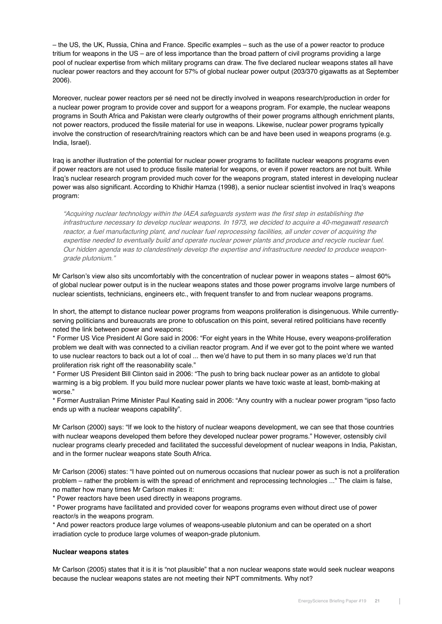– the US, the UK, Russia, China and France. Specific examples – such as the use of a power reactor to produce tritium for weapons in the US – are of less importance than the broad pattern of civil programs providing a large pool of nuclear expertise from which military programs can draw. The five declared nuclear weapons states all have nuclear power reactors and they account for 57% of global nuclear power output (203/370 gigawatts as at September 2006).

Moreover, nuclear power reactors per sé need not be directly involved in weapons research/production in order for a nuclear power program to provide cover and support for a weapons program. For example, the nuclear weapons programs in South Africa and Pakistan were clearly outgrowths of their power programs although enrichment plants, not power reactors, produced the fissile material for use in weapons. Likewise, nuclear power programs typically involve the construction of research/training reactors which can be and have been used in weapons programs (e.g. India, Israel).

Iraq is another illustration of the potential for nuclear power programs to facilitate nuclear weapons programs even if power reactors are not used to produce fissile material for weapons, or even if power reactors are not built. While Iraq's nuclear research program provided much cover for the weapons program, stated interest in developing nuclear power was also significant. According to Khidhir Hamza (1998), a senior nuclear scientist involved in Iraq's weapons program:

"Acquiring nuclear technology within the IAEA safeguards system was the first step in establishing the infrastructure necessary to develop nuclear weapons. In 1973, we decided to acquire a 40-megawatt research reactor, a fuel manufacturing plant, and nuclear fuel reprocessing facilities, all under cover of acquiring the expertise needed to eventually build and operate nuclear power plants and produce and recycle nuclear fuel. Our hidden agenda was to clandestinely develop the expertise and infrastructure needed to produce weapongrade plutonium."

Mr Carlson's view also sits uncomfortably with the concentration of nuclear power in weapons states – almost 60% of global nuclear power output is in the nuclear weapons states and those power programs involve large numbers of nuclear scientists, technicians, engineers etc., with frequent transfer to and from nuclear weapons programs.

In short, the attempt to distance nuclear power programs from weapons proliferation is disingenuous. While currentlyserving politicians and bureaucrats are prone to obfuscation on this point, several retired politicians have recently noted the link between power and weapons:

\* Former US Vice President Al Gore said in 2006: "For eight years in the White House, every weapons-proliferation problem we dealt with was connected to a civilian reactor program. And if we ever got to the point where we wanted to use nuclear reactors to back out a lot of coal ... then we'd have to put them in so many places we'd run that proliferation risk right off the reasonability scale."

\* Former US President Bill Clinton said in 2006: "The push to bring back nuclear power as an antidote to global warming is a big problem. If you build more nuclear power plants we have toxic waste at least, bomb-making at worse."

\* Former Australian Prime Minister Paul Keating said in 2006: "Any country with a nuclear power program "ipso facto ends up with a nuclear weapons capability".

Mr Carlson (2000) says: "If we look to the history of nuclear weapons development, we can see that those countries with nuclear weapons developed them before they developed nuclear power programs." However, ostensibly civil nuclear programs clearly preceded and facilitated the successful development of nuclear weapons in India, Pakistan, and in the former nuclear weapons state South Africa.

Mr Carlson (2006) states: "I have pointed out on numerous occasions that nuclear power as such is not a proliferation problem – rather the problem is with the spread of enrichment and reprocessing technologies ..." The claim is false, no matter how many times Mr Carlson makes it:

\* Power reactors have been used directly in weapons programs.

\* Power programs have facilitated and provided cover for weapons programs even without direct use of power reactor/s in the weapons program.

\* And power reactors produce large volumes of weapons-useable plutonium and can be operated on a short irradiation cycle to produce large volumes of weapon-grade plutonium.

#### **Nuclear weapons states**

Mr Carlson (2005) states that it is it is "not plausible" that a non nuclear weapons state would seek nuclear weapons because the nuclear weapons states are not meeting their NPT commitments. Why not?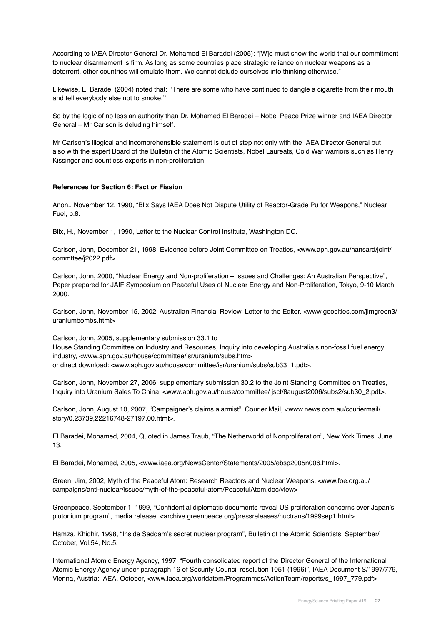According to IAEA Director General Dr. Mohamed El Baradei (2005): "[W]e must show the world that our commitment to nuclear disarmament is firm. As long as some countries place strategic reliance on nuclear weapons as a deterrent, other countries will emulate them. We cannot delude ourselves into thinking otherwise."

Likewise, El Baradei (2004) noted that: ''There are some who have continued to dangle a cigarette from their mouth and tell everybody else not to smoke.''

So by the logic of no less an authority than Dr. Mohamed El Baradei – Nobel Peace Prize winner and IAEA Director General – Mr Carlson is deluding himself.

Mr Carlson's illogical and incomprehensible statement is out of step not only with the IAEA Director General but also with the expert Board of the Bulletin of the Atomic Scientists, Nobel Laureats, Cold War warriors such as Henry Kissinger and countless experts in non-proliferation.

### **References for Section 6: Fact or Fission**

Anon., November 12, 1990, "Blix Says IAEA Does Not Dispute Utility of Reactor-Grade Pu for Weapons," Nuclear Fuel, p.8.

Blix, H., November 1, 1990, Letter to the Nuclear Control Institute, Washington DC.

Carlson, John, December 21, 1998, Evidence before Joint Committee on Treaties, <www.aph.gov.au/hansard/joint/ commttee/j2022.pdf>.

Carlson, John, 2000, "Nuclear Energy and Non-proliferation – Issues and Challenges: An Australian Perspective", Paper prepared for JAIF Symposium on Peaceful Uses of Nuclear Energy and Non-Proliferation, Tokyo, 9-10 March 2000.

Carlson, John, November 15, 2002, Australian Financial Review, Letter to the Editor. <www.geocities.com/jimgreen3/ uraniumbombs.html>

Carlson, John, 2005, supplementary submission 33.1 to House Standing Committee on Industry and Resources, Inquiry into developing Australia's non-fossil fuel energy industry, <www.aph.gov.au/house/committee/isr/uranium/subs.htm> or direct download: <www.aph.gov.au/house/committee/isr/uranium/subs/sub33\_1.pdf>.

Carlson, John, November 27, 2006, supplementary submission 30.2 to the Joint Standing Committee on Treaties, Inquiry into Uranium Sales To China, <www.aph.gov.au/house/committee/ jsct/8august2006/subs2/sub30\_2.pdf>.

Carlson, John, August 10, 2007, "Campaigner's claims alarmist", Courier Mail, <www.news.com.au/couriermail/ story/0,23739,22216748-27197,00.html>.

El Baradei, Mohamed, 2004, Quoted in James Traub, "The Netherworld of Nonproliferation", New York Times, June 13.

El Baradei, Mohamed, 2005, <www.iaea.org/NewsCenter/Statements/2005/ebsp2005n006.html>.

Green, Jim, 2002, Myth of the Peaceful Atom: Research Reactors and Nuclear Weapons, <www.foe.org.au/ campaigns/anti-nuclear/issues/myth-of-the-peaceful-atom/PeacefulAtom.doc/view>

Greenpeace, September 1, 1999, "Confidential diplomatic documents reveal US proliferation concerns over Japan's plutonium program", media release, <archive.greenpeace.org/pressreleases/nuctrans/1999sep1.html>.

Hamza, Khidhir, 1998, "Inside Saddam's secret nuclear program", Bulletin of the Atomic Scientists, September/ October, Vol.54, No.5.

International Atomic Energy Agency, 1997, "Fourth consolidated report of the Director General of the International Atomic Energy Agency under paragraph 16 of Security Council resolution 1051 (1996)", IAEA Document S/1997/779, Vienna, Austria: IAEA, October, <www.iaea.org/worldatom/Programmes/ActionTeam/reports/s\_1997\_779.pdf>